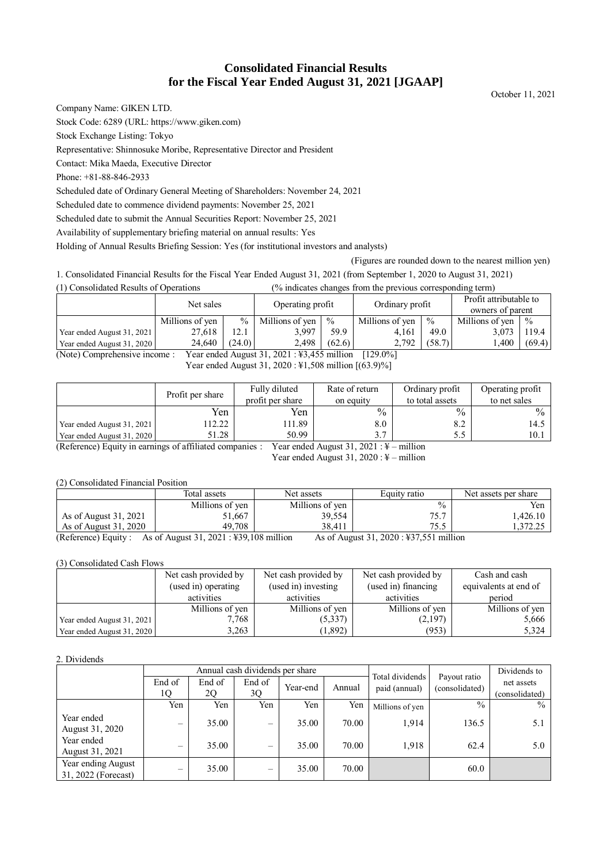# **Consolidated Financial Results for the Fiscal Year Ended August 31, 2021 [JGAAP]**

October 11, 2021

Company Name: GIKEN LTD.

Stock Code: 6289 (URL: https://www.giken.com)

Stock Exchange Listing: Tokyo

Representative: Shinnosuke Moribe, Representative Director and President

Contact: Mika Maeda, Executive Director

Phone: +81-88-846-2933

Scheduled date of Ordinary General Meeting of Shareholders: November 24, 2021

Scheduled date to commence dividend payments: November 25, 2021

Scheduled date to submit the Annual Securities Report: November 25, 2021

Availability of supplementary briefing material on annual results: Yes

Holding of Annual Results Briefing Session: Yes (for institutional investors and analysts)

(Figures are rounded down to the nearest million yen)

1. Consolidated Financial Results for the Fiscal Year Ended August 31, 2021 (from September 1, 2020 to August 31, 2021)

(1) Consolidated Results of Operations (% indicates changes from the previous corresponding term)

|                            | Net sales       |        | Operating profit |               | Ordinary profit |               | Profit attributable to<br>owners of parent |               |
|----------------------------|-----------------|--------|------------------|---------------|-----------------|---------------|--------------------------------------------|---------------|
|                            | Millions of yen | $\%$   | Millions of yen  | $\frac{0}{0}$ | Millions of ven | $\frac{0}{0}$ | Millions of ven                            | $\frac{0}{0}$ |
| Year ended August 31, 2021 | 27,618          |        | 3.997            | 59.9          | 4.161           | 49.0          | 3.073                                      | 119.4         |
| Year ended August 31, 2020 | 24,640          | (24.0) | 2.498            | (62.6)        | 2.792           | (58.7)        | . 400                                      | (69.4)        |

(Note) Comprehensive income : Year ended August 31, 2021 : ¥3,455 million [129.0%] Year ended August 31, 2020 : \\$1,508 million  $[(63.9)\%]$ 

|                            | Profit per share | Fully diluted<br>profit per share                                                                                                                             | Rate of return<br>on equity | Ordinary profit<br>to total assets | Operating profit<br>to net sales |  |  |  |  |  |
|----------------------------|------------------|---------------------------------------------------------------------------------------------------------------------------------------------------------------|-----------------------------|------------------------------------|----------------------------------|--|--|--|--|--|
|                            | Yen              | Yen                                                                                                                                                           | $\frac{0}{0}$               | $\frac{0}{0}$                      | $\frac{0}{0}$                    |  |  |  |  |  |
| Year ended August 31, 2021 | 12.22            | 11.89                                                                                                                                                         | 8.0                         | 8.2                                | 14.5                             |  |  |  |  |  |
| Year ended August 31, 2020 | 51.28            | 50.99                                                                                                                                                         |                             |                                    | 10.1                             |  |  |  |  |  |
|                            |                  | $(D_1, D_2, \ldots, D_n)$ $D_1, \ldots, D_n$ . $D_2, \ldots, D_n$ $D_n$ $D_n$ $D_n$ $D_{n-1}$ . The set of $D_n$<br>$V_{\text{max}} = 1.1 \text{ A}$<br>. 111 |                             |                                    |                                  |  |  |  |  |  |

(Reference) Equity in earnings of affiliated companies : Year ended August 31, 2021 : ¥ – million Year ended August 31,  $2020 : \frac{1}{2}$  – million

## (2) Consolidated Financial Position

|                          | Total assets        | Net assets      | Equity ratio                | Net assets per share |
|--------------------------|---------------------|-----------------|-----------------------------|----------------------|
|                          | Millions of yen     | Millions of yen | $\frac{0}{0}$               | Yen                  |
| As of August 31, 2021    | 51,667              | 39,554          | 757<br>◡.                   | 1.426.10             |
| As of August 31, 2020    | 49.708              | 38.411          | つく く<br>ر. ر                | 1. <i>312.23</i>     |
| $\sqrt{D}$<br>$\sqrt{2}$ | $0.1.001$ $100.100$ | .11.            | $-11 -$<br>0.21.0000.372777 |                      |

(Reference) Equity : As of August 31, 2021 : ¥39,108 million As of August 31, 2020 : ¥37,551 million

## (3) Consolidated Cash Flows

|                            | Net cash provided by | Net cash provided by | Net cash provided by | Cash and cash         |
|----------------------------|----------------------|----------------------|----------------------|-----------------------|
|                            | (used in) operating  | (used in) investing  | (used in) financing  | equivalents at end of |
|                            | activities           | activities           | activities           | period                |
|                            | Millions of yen      | Millions of yen      | Millions of yen      | Millions of yen       |
| Year ended August 31, 2021 | 7,768                | (5,337)              | (2,197)              | 5,666                 |
| Year ended August 31, 2020 | 3,263                | (1,892)              | (953)                | 5,324                 |

## 2. Dividends

|                                           | Annual cash dividends per share |        |                   |          |        |                                  |                                | Dividends to   |
|-------------------------------------------|---------------------------------|--------|-------------------|----------|--------|----------------------------------|--------------------------------|----------------|
|                                           | End of                          | End of | End of            | Year-end | Annual | Total dividends<br>paid (annual) | Payout ratio<br>(consolidated) | net assets     |
|                                           | 1Q                              | 2Q     | 3Q                |          |        |                                  |                                | (consolidated) |
|                                           | Yen                             | Yen    | Yen               | Yen      | Yen    | Millions of yen                  | $\frac{0}{0}$                  | $\frac{0}{0}$  |
| Year ended<br>August 31, 2020             | $\qquad \qquad -$               | 35.00  | $\qquad \qquad -$ | 35.00    | 70.00  | 1.914                            | 136.5                          | 5.1            |
| Year ended<br>August 31, 2021             | $\qquad \qquad$                 | 35.00  | $\qquad \qquad -$ | 35.00    | 70.00  | 1,918                            | 62.4                           | 5.0            |
| Year ending August<br>31, 2022 (Forecast) | $\overline{\phantom{0}}$        | 35.00  | —                 | 35.00    | 70.00  |                                  | 60.0                           |                |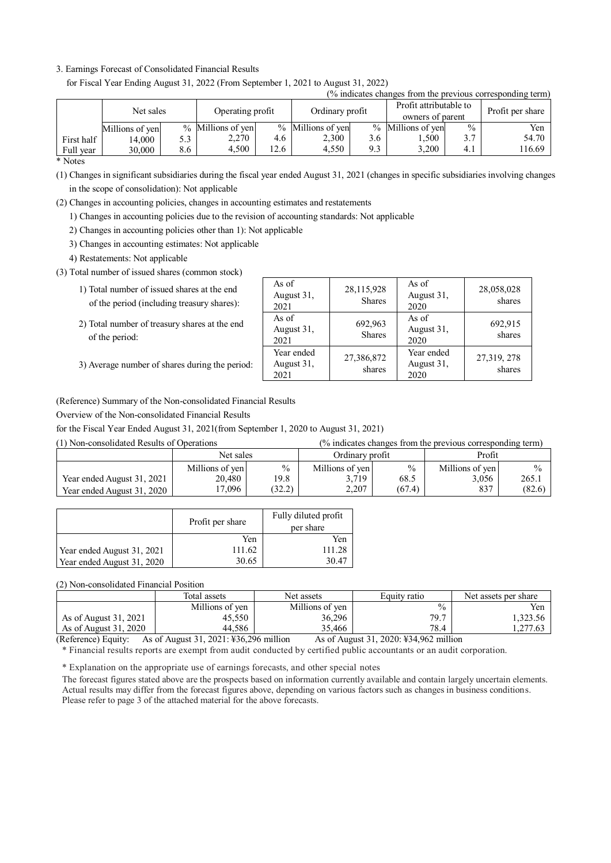## 3. Earnings Forecast of Consolidated Financial Results

for Fiscal Year Ending August 31, 2022 (From September 1, 2021 to August 31, 2022)

|            |                 |     |                   |      |                   |     |                                            |               | (% indicates changes from the previous corresponding term) |
|------------|-----------------|-----|-------------------|------|-------------------|-----|--------------------------------------------|---------------|------------------------------------------------------------|
|            | Net sales       |     | Operating profit  |      | Ordinary profit   |     | Profit attributable to<br>owners of parent |               | Profit per share                                           |
|            | Millions of yen |     | % Millions of yen |      | % Millions of yen |     | % Millions of yen                          | $\frac{0}{0}$ | Yen                                                        |
| First half | 14.000          | 5.3 | 2,270             | 4.6  | 2,300             | 3.6 | 1,500                                      | 3.7           | 54.70                                                      |
| Full year  | 30,000          | 8.6 | 4.500             | 12.6 | 4.550             | 9.3 | 3.200                                      | 4.1           | 116.69                                                     |

\* Notes

(1) Changes in significant subsidiaries during the fiscal year ended August 31, 2021 (changes in specific subsidiaries involving changes in the scope of consolidation): Not applicable

(2) Changes in accounting policies, changes in accounting estimates and restatements

1) Changes in accounting policies due to the revision of accounting standards: Not applicable

2) Changes in accounting policies other than 1): Not applicable

3) Changes in accounting estimates: Not applicable

4) Restatements: Not applicable

(3) Total number of issued shares (common stock)

- 1) Total number of issued shares at the end of the period (including treasury shares):
- 2) Total number of treasury shares at the end of the period:

| 3) Average number of shares during the period: |  |
|------------------------------------------------|--|
|                                                |  |

| As of<br>August 31,<br>2021      | 28,115,928<br><b>Shares</b> | As of<br>August 31,<br>2020      | 28,058,028<br>shares  |
|----------------------------------|-----------------------------|----------------------------------|-----------------------|
| As of<br>August 31,<br>2021      | 692,963<br><b>Shares</b>    | As of<br>August 31,<br>2020      | 692,915<br>shares     |
| Year ended<br>August 31,<br>2021 | 27,386,872<br>shares        | Year ended<br>August 31,<br>2020 | 27,319, 278<br>shares |

(Reference) Summary of the Non-consolidated Financial Results

Overview of the Non-consolidated Financial Results

for the Fiscal Year Ended August 31, 2021(from September 1, 2020 to August 31, 2021)

(1) Non-consolidated Results of Operations (% indicates changes from the previous corresponding term)

|                            |                 | Net sales     |                 | Ordinary profit |                 | Profit |  |
|----------------------------|-----------------|---------------|-----------------|-----------------|-----------------|--------|--|
|                            | Millions of yen | $\frac{0}{0}$ | Millions of yen | $\frac{0}{0}$   | Millions of yen | $\%$   |  |
| Year ended August 31, 2021 | 20,480          | 19.8          | 3.719           | 68.5            | 3,056           | 265.1  |  |
| Year ended August 31, 2020 | 7,096           | (32.2)        | 2.207           | (67.4)          | 837             | (82.6) |  |

|                            | Profit per share | Fully diluted profit<br>per share |
|----------------------------|------------------|-----------------------------------|
|                            | Yen              | Yen                               |
| Year ended August 31, 2021 | 111.62           | 111.28                            |
| Year ended August 31, 2020 | 30.65            | 30.47                             |

(2) Non-consolidated Financial Position

|                       | Total assets    | Net assets      | Equity ratio  | Net assets per share |
|-----------------------|-----------------|-----------------|---------------|----------------------|
|                       | Millions of ven | Millions of ven | $\frac{0}{0}$ | Yen                  |
| As of August 31, 2021 | 45.550          | 36,296          | 79.7          | 1.323.56             |
| As of August 31, 2020 | 44,586          | 35,466          | 78.4          | .277.63              |

(Reference) Equity: As of August 31, 2021: ¥36,296 million As of August 31, 2020: ¥34,962 million

\* Financial results reports are exempt from audit conducted by certified public accountants or an audit corporation.

\* Explanation on the appropriate use of earnings forecasts, and other special notes

The forecast figures stated above are the prospects based on information currently available and contain largely uncertain elements. Actual results may differ from the forecast figures above, depending on various factors such as changes in business conditions. Please refer to page 3 of the attached material for the above forecasts.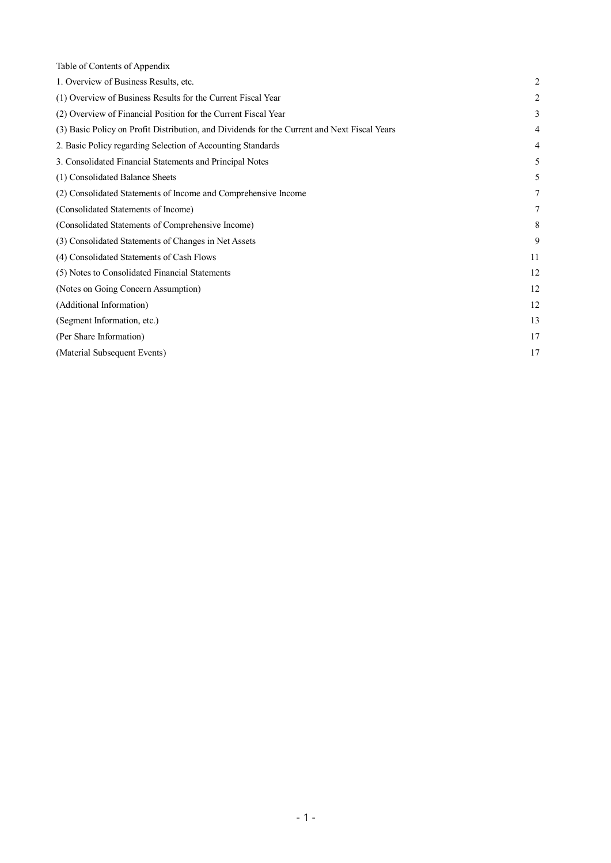| Table of Contents of Appendix                                                                |                |
|----------------------------------------------------------------------------------------------|----------------|
| 1. Overview of Business Results, etc.                                                        | $\overline{2}$ |
| (1) Overview of Business Results for the Current Fiscal Year                                 | 2              |
| (2) Overview of Financial Position for the Current Fiscal Year                               | 3              |
| (3) Basic Policy on Profit Distribution, and Dividends for the Current and Next Fiscal Years | 4              |
| 2. Basic Policy regarding Selection of Accounting Standards                                  | 4              |
| 3. Consolidated Financial Statements and Principal Notes                                     | 5              |
| (1) Consolidated Balance Sheets                                                              | 5              |
| (2) Consolidated Statements of Income and Comprehensive Income                               | 7              |
| (Consolidated Statements of Income)                                                          | 7              |
| (Consolidated Statements of Comprehensive Income)                                            | 8              |
| (3) Consolidated Statements of Changes in Net Assets                                         | 9              |
| (4) Consolidated Statements of Cash Flows                                                    | 11             |
| (5) Notes to Consolidated Financial Statements                                               | 12             |
| (Notes on Going Concern Assumption)                                                          | 12             |
| (Additional Information)                                                                     | 12             |
| (Segment Information, etc.)                                                                  | 13             |
| (Per Share Information)                                                                      | 17             |
| (Material Subsequent Events)                                                                 | 17             |
|                                                                                              |                |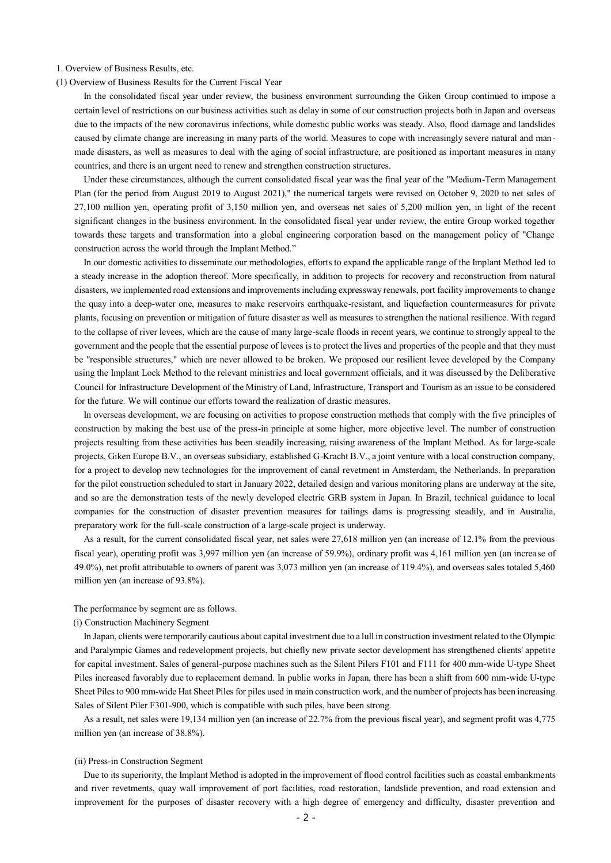#### 1. Overview of Business Results, etc.

(1) Overview of Business Results for the Current Fiscal Year

In the consolidated fiscal year under review, the business environment surrounding the Giken Group continued to impose a certain level of restrictions on our business activities such as delay in some of our construction projects both in Japan and overseas due to the impacts of the new coronavirus infections, while domestic public works was steady. Also, flood damage and landslides caused by climate change are increasing in many parts of the world. Measures to cope with increasingly severe natural and manmade disasters, as well as measures to deal with the aging of social infrastructure, are positioned as important measures in many countries, and there is an urgent need to renew and strengthen construction structures.

Under these circumstances, although the current consolidated fiscal year was the final year of the "Medium-Term Management Plan (for the period from August 2019 to August 2021)," the numerical targets were revised on October 9, 2020 to net sales of 27,100 million yen, operating profit of 3,150 million yen, and overseas net sales of 5,200 million yen, in light of the recent significant changes in the business environment. In the consolidated fiscal year under review, the entire Group worked together towards these targets and transformation into a global engineering corporation based on the management policy of "Change construction across the world through the Implant Method."

In our domestic activities to disseminate our methodologies, efforts to expand the applicable range of the Implant Method led to a steady increase in the adoption thereof. More specifically, in addition to projects for recovery and reconstruction from natural disasters, we implemented road extensions and improvements including expressway renewals, port facility improvements to change the quay into a deep-water one, measures to make reservoirs earthquake-resistant, and liquefaction countermeasures for private plants, focusing on prevention or mitigation of future disaster as well as measures to strengthen the national resilience. With regard to the collapse of river levees, which are the cause of many large-scale floods in recent years, we continue to strongly appeal to the government and the people that the essential purpose of levees is to protect the lives and properties of the people and that they must be "responsible structures," which are never allowed to be broken. We proposed our resilient levee developed by the Company using the Implant Lock Method to the relevant ministries and local government officials, and it was discussed by the Deliberative Council for Infrastructure Development of the Ministry of Land, Infrastructure, Transport and Tourism as an issue to be considered for the future. We will continue our efforts toward the realization of drastic measures.

In overseas development, we are focusing on activities to propose construction methods that comply with the five principles of construction by making the best use of the press-in principle at some higher, more objective level. The number of construction projects resulting from these activities has been steadily increasing, raising awareness of the Implant Method. As for large-scale projects, Giken Europe B.V., an overseas subsidiary, established G-Kracht B.V., a joint venture with a local construction company, for a project to develop new technologies for the improvement of canal revetment in Amsterdam, the Netherlands. In preparation for the pilot construction scheduled to start in January 2022, detailed design and various monitoring plans are underway at the site, and so are the demonstration tests of the newly developed electric GRB system in Japan. In Brazil, technical guidance to local companies for the construction of disaster prevention measures for tailings dams is progressing steadily, and in Australia, preparatory work for the full-scale construction of a large-scale project is underway.

As a result, for the current consolidated fiscal year, net sales were 27,618 million yen (an increase of 12.1% from the previous fiscal year), operating profit was 3,997 million yen (an increase of 59.9%), ordinary profit was 4,161 million yen (an increase of 49.0%), net profit attributable to owners of parent was 3,073 million yen (an increase of 119.4%), and overseas sales totaled 5,460 million yen (an increase of 93.8%).

#### The performance by segment are as follows.

### (i) Construction Machinery Segment

In Japan, clients were temporarily cautious about capital investment due to a lull in construction investment related to the Olympic and Paralympic Games and redevelopment projects, but chiefly new private sector development has strengthened clients' appetite for capital investment. Sales of general-purpose machines such as the Silent Pilers F101 and F111 for 400 mm-wide U-type Sheet Piles increased favorably due to replacement demand. In public works in Japan, there has been a shift from 600 mm-wide U-type Sheet Piles to 900 mm-wide Hat Sheet Piles for piles used in main construction work, and the number of projects has been increasing. Sales of Silent Piler F301-900, which is compatible with such piles, have been strong.

As a result, net sales were 19,134 million yen (an increase of 22.7% from the previous fiscal year), and segment profit was 4,775 million yen (an increase of 38.8%).

#### (ii) Press-in Construction Segment

Due to its superiority, the Implant Method is adopted in the improvement of flood control facilities such as coastal embankments and river revetments, quay wall improvement of port facilities, road restoration, landslide prevention, and road extension and improvement for the purposes of disaster recovery with a high degree of emergency and difficulty, disaster prevention and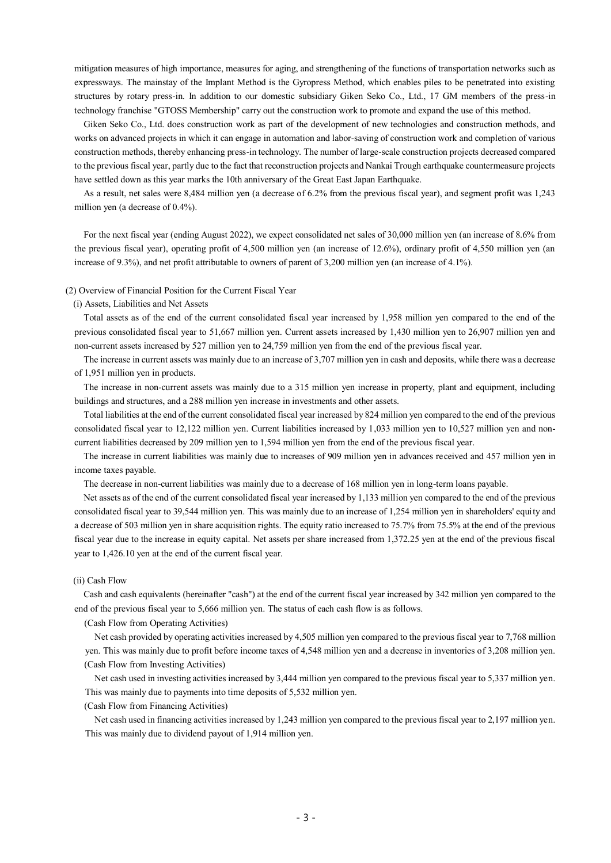mitigation measures of high importance, measures for aging, and strengthening of the functions of transportation networks such as expressways. The mainstay of the Implant Method is the Gyropress Method, which enables piles to be penetrated into existing structures by rotary press-in. In addition to our domestic subsidiary Giken Seko Co., Ltd., 17 GM members of the press-in technology franchise "GTOSS Membership" carry out the construction work to promote and expand the use of this method.

Giken Seko Co., Ltd. does construction work as part of the development of new technologies and construction methods, and works on advanced projects in which it can engage in automation and labor-saving of construction work and completion of various construction methods, thereby enhancing press-in technology. The number of large-scale construction projects decreased compared to the previous fiscal year, partly due to the fact that reconstruction projects and Nankai Trough earthquake countermeasure projects have settled down as this year marks the 10th anniversary of the Great East Japan Earthquake.

As a result, net sales were 8,484 million yen (a decrease of 6.2% from the previous fiscal year), and segment profit was 1,243 million yen (a decrease of 0.4%).

For the next fiscal year (ending August 2022), we expect consolidated net sales of 30,000 million yen (an increase of 8.6% from the previous fiscal year), operating profit of 4,500 million yen (an increase of 12.6%), ordinary profit of 4,550 million yen (an increase of 9.3%), and net profit attributable to owners of parent of 3,200 million yen (an increase of 4.1%).

#### (2) Overview of Financial Position for the Current Fiscal Year

#### (i) Assets, Liabilities and Net Assets

Total assets as of the end of the current consolidated fiscal year increased by 1,958 million yen compared to the end of the previous consolidated fiscal year to 51,667 million yen. Current assets increased by 1,430 million yen to 26,907 million yen and non-current assets increased by 527 million yen to 24,759 million yen from the end of the previous fiscal year.

The increase in current assets was mainly due to an increase of 3,707 million yen in cash and deposits, while there was a decrease of 1,951 million yen in products.

The increase in non-current assets was mainly due to a 315 million yen increase in property, plant and equipment, including buildings and structures, and a 288 million yen increase in investments and other assets.

Total liabilities at the end of the current consolidated fiscal year increased by 824 million yen compared to the end of the previous consolidated fiscal year to 12,122 million yen. Current liabilities increased by 1,033 million yen to 10,527 million yen and noncurrent liabilities decreased by 209 million yen to 1,594 million yen from the end of the previous fiscal year.

The increase in current liabilities was mainly due to increases of 909 million yen in advances received and 457 million yen in income taxes payable.

The decrease in non-current liabilities was mainly due to a decrease of 168 million yen in long-term loans payable.

Net assets as of the end of the current consolidated fiscal year increased by 1,133 million yen compared to the end of the previous consolidated fiscal year to 39,544 million yen. This was mainly due to an increase of 1,254 million yen in shareholders' equity and a decrease of 503 million yen in share acquisition rights. The equity ratio increased to 75.7% from 75.5% at the end of the previous fiscal year due to the increase in equity capital. Net assets per share increased from 1,372.25 yen at the end of the previous fiscal year to 1,426.10 yen at the end of the current fiscal year.

## (ii) Cash Flow

Cash and cash equivalents (hereinafter "cash") at the end of the current fiscal year increased by 342 million yen compared to the end of the previous fiscal year to 5,666 million yen. The status of each cash flow is as follows.

(Cash Flow from Operating Activities)

Net cash provided by operating activities increased by 4,505 million yen compared to the previous fiscal year to 7,768 million yen. This was mainly due to profit before income taxes of 4,548 million yen and a decrease in inventories of 3,208 million yen. (Cash Flow from Investing Activities)

Net cash used in investing activities increased by 3,444 million yen compared to the previous fiscal year to 5,337 million yen. This was mainly due to payments into time deposits of 5,532 million yen.

(Cash Flow from Financing Activities)

Net cash used in financing activities increased by 1,243 million yen compared to the previous fiscal year to 2,197 million yen. This was mainly due to dividend payout of 1,914 million yen.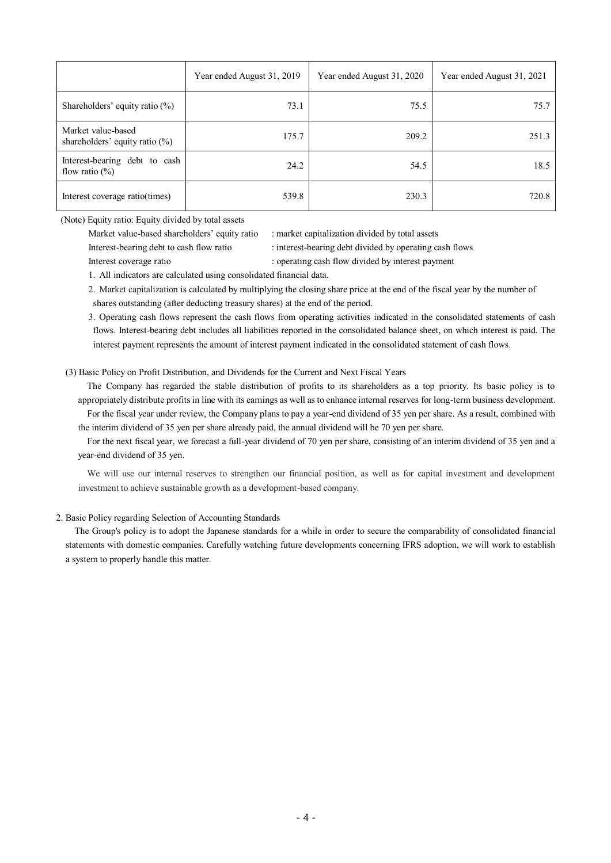|                                                         | Year ended August 31, 2019 | Year ended August 31, 2020 | Year ended August 31, 2021 |
|---------------------------------------------------------|----------------------------|----------------------------|----------------------------|
| Shareholders' equity ratio $(\%)$                       | 73.1                       | 75.5                       | 75.7                       |
| Market value-based<br>shareholders' equity ratio $(\%)$ | 175.7                      | 209.2                      | 251.3                      |
| Interest-bearing debt to cash<br>flow ratio $(\%)$      | 24.2                       | 54.5                       | 18.5                       |
| Interest coverage ratio(times)                          | 539.8                      | 230.3                      | 720.8                      |

(Note) Equity ratio: Equity divided by total assets

Market value-based shareholders' equity ratio : market capitalization divided by total assets

Interest-bearing debt to cash flow ratio : interest-bearing debt divided by operating cash flows

Interest coverage ratio : operating cash flow divided by interest payment

1. All indicators are calculated using consolidated financial data.

2. Market capitalization is calculated by multiplying the closing share price at the end of the fiscal year by the number of shares outstanding (after deducting treasury shares) at the end of the period.

3. Operating cash flows represent the cash flows from operating activities indicated in the consolidated statements of cash flows. Interest-bearing debt includes all liabilities reported in the consolidated balance sheet, on which interest is paid. The interest payment represents the amount of interest payment indicated in the consolidated statement of cash flows.

(3) Basic Policy on Profit Distribution, and Dividends for the Current and Next Fiscal Years

The Company has regarded the stable distribution of profits to its shareholders as a top priority. Its basic policy is to appropriately distribute profits in line with its earnings as well as to enhance internal reserves for long-term business development. For the fiscal year under review, the Company plans to pay a year-end dividend of 35 yen per share. As a result, combined with

the interim dividend of 35 yen per share already paid, the annual dividend will be 70 yen per share.

For the next fiscal year, we forecast a full-year dividend of 70 yen per share, consisting of an interim dividend of 35 yen and a year-end dividend of 35 yen.

We will use our internal reserves to strengthen our financial position, as well as for capital investment and development investment to achieve sustainable growth as a development-based company.

# 2. Basic Policy regarding Selection of Accounting Standards

The Group's policy is to adopt the Japanese standards for a while in order to secure the comparability of consolidated financial statements with domestic companies. Carefully watching future developments concerning IFRS adoption, we will work to establish a system to properly handle this matter.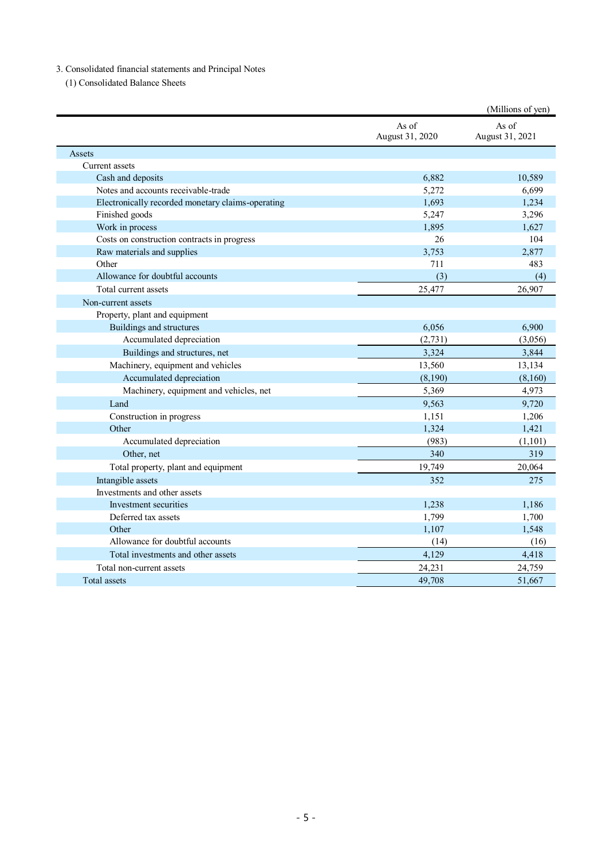# 3. Consolidated financial statements and Principal Notes

(1) Consolidated Balance Sheets

|                                                   |                          | (Millions of yen)        |
|---------------------------------------------------|--------------------------|--------------------------|
|                                                   | As of<br>August 31, 2020 | As of<br>August 31, 2021 |
| Assets                                            |                          |                          |
| Current assets                                    |                          |                          |
| Cash and deposits                                 | 6,882                    | 10,589                   |
| Notes and accounts receivable-trade               | 5,272                    | 6,699                    |
| Electronically recorded monetary claims-operating | 1,693                    | 1,234                    |
| Finished goods                                    | 5,247                    | 3,296                    |
| Work in process                                   | 1,895                    | 1,627                    |
| Costs on construction contracts in progress       | 26                       | 104                      |
| Raw materials and supplies                        | 3,753                    | 2,877                    |
| Other                                             | 711                      | 483                      |
| Allowance for doubtful accounts                   | (3)                      | (4)                      |
| Total current assets                              | 25,477                   | 26,907                   |
| Non-current assets                                |                          |                          |
| Property, plant and equipment                     |                          |                          |
| Buildings and structures                          | 6,056                    | 6,900                    |
| Accumulated depreciation                          | (2,731)                  | (3,056)                  |
| Buildings and structures, net                     | 3,324                    | 3,844                    |
| Machinery, equipment and vehicles                 | 13,560                   | 13,134                   |
| Accumulated depreciation                          | (8,190)                  | (8,160)                  |
| Machinery, equipment and vehicles, net            | 5,369                    | 4,973                    |
| Land                                              | 9,563                    | 9,720                    |
| Construction in progress                          | 1,151                    | 1,206                    |
| Other                                             | 1,324                    | 1,421                    |
| Accumulated depreciation                          | (983)                    | (1,101)                  |
| Other, net                                        | 340                      | 319                      |
| Total property, plant and equipment               | 19,749                   | 20,064                   |
| Intangible assets                                 | 352                      | 275                      |
| Investments and other assets                      |                          |                          |
| Investment securities                             | 1,238                    | 1,186                    |
| Deferred tax assets                               | 1,799                    | 1,700                    |
| Other                                             | 1,107                    | 1,548                    |
| Allowance for doubtful accounts                   | (14)                     | (16)                     |
| Total investments and other assets                | 4,129                    | 4,418                    |
| Total non-current assets                          | 24,231                   | 24,759                   |
| Total assets                                      | 49,708                   | 51,667                   |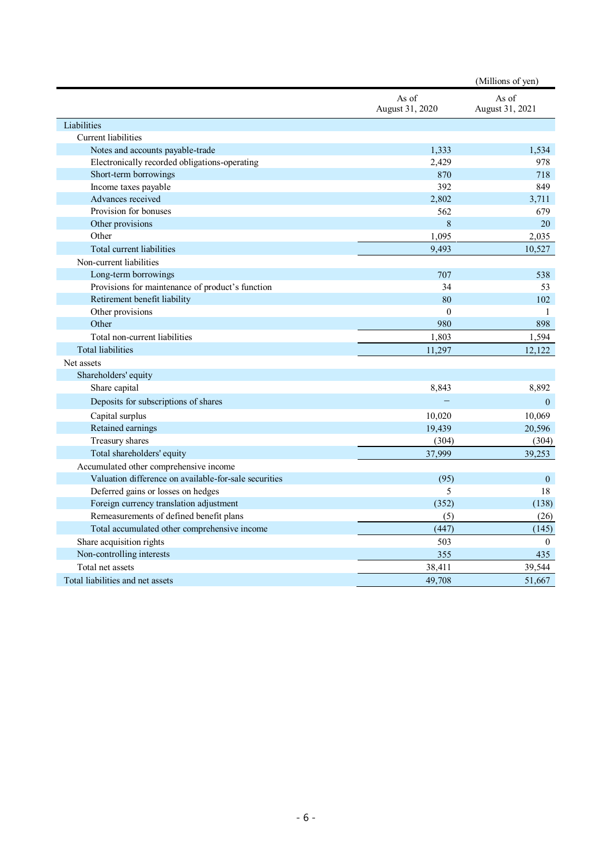|                                                       |                          | (Millions of yen)        |
|-------------------------------------------------------|--------------------------|--------------------------|
|                                                       | As of<br>August 31, 2020 | As of<br>August 31, 2021 |
| Liabilities                                           |                          |                          |
| <b>Current</b> liabilities                            |                          |                          |
| Notes and accounts payable-trade                      | 1,333                    | 1.534                    |
| Electronically recorded obligations-operating         | 2,429                    | 978                      |
| Short-term borrowings                                 | 870                      | 718                      |
| Income taxes payable                                  | 392                      | 849                      |
| Advances received                                     | 2,802                    | 3,711                    |
| Provision for bonuses                                 | 562                      | 679                      |
| Other provisions                                      | 8                        | 20                       |
| Other                                                 | 1,095                    | 2,035                    |
| Total current liabilities                             | 9,493                    | 10,527                   |
| Non-current liabilities                               |                          |                          |
| Long-term borrowings                                  | 707                      | 538                      |
| Provisions for maintenance of product's function      | 34                       | 53                       |
| Retirement benefit liability                          | 80                       | 102                      |
| Other provisions                                      | $\mathbf{0}$             | $\mathbf{1}$             |
| Other                                                 | 980                      | 898                      |
| Total non-current liabilities                         | 1,803                    | 1,594                    |
| <b>Total liabilities</b>                              | 11,297                   | 12,122                   |
| Net assets                                            |                          |                          |
| Shareholders' equity                                  |                          |                          |
| Share capital                                         | 8,843                    | 8,892                    |
| Deposits for subscriptions of shares                  |                          | $\mathbf{0}$             |
| Capital surplus                                       | 10,020                   | 10,069                   |
| Retained earnings                                     | 19,439                   | 20,596                   |
| Treasury shares                                       | (304)                    | (304)                    |
| Total shareholders' equity                            | 37,999                   | 39,253                   |
| Accumulated other comprehensive income                |                          |                          |
| Valuation difference on available-for-sale securities | (95)                     | $\mathbf{0}$             |
| Deferred gains or losses on hedges                    | 5                        | 18                       |
| Foreign currency translation adjustment               | (352)                    | (138)                    |
| Remeasurements of defined benefit plans               | (5)                      | (26)                     |
| Total accumulated other comprehensive income          | (447)                    | (145)                    |
| Share acquisition rights                              | 503                      | $\theta$                 |
| Non-controlling interests                             | 355                      | 435                      |
| Total net assets                                      | 38,411                   | 39,544                   |
| Total liabilities and net assets                      | 49,708                   | 51,667                   |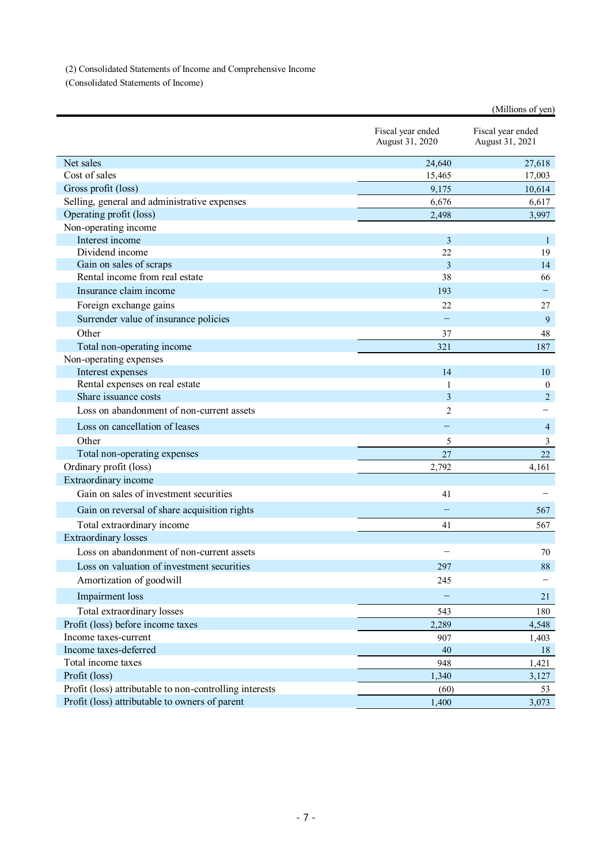(2) Consolidated Statements of Income and Comprehensive Income

(Consolidated Statements of Income)

| Fiscal year ended                                         |           |                                      |
|-----------------------------------------------------------|-----------|--------------------------------------|
| August 31, 2020                                           |           | Fiscal year ended<br>August 31, 2021 |
| Net sales                                                 | 24,640    | 27,618                               |
| Cost of sales                                             | 15,465    | 17,003                               |
| Gross profit (loss)                                       | 9,175     | 10,614                               |
| Selling, general and administrative expenses              | 6,676     | 6,617                                |
| Operating profit (loss)                                   | 2,498     | 3,997                                |
| Non-operating income                                      |           |                                      |
| Interest income                                           | 3         | $\mathbf{1}$                         |
| Dividend income                                           | 22        | 19                                   |
| Gain on sales of scraps<br>Rental income from real estate | 3         | 14                                   |
|                                                           | 38        | 66                                   |
| Insurance claim income                                    | 193       |                                      |
| Foreign exchange gains                                    | 22        | 27                                   |
| Surrender value of insurance policies                     |           | 9                                    |
| Other                                                     | 37        | 48                                   |
| Total non-operating income                                | 321       | 187                                  |
| Non-operating expenses                                    |           |                                      |
| Interest expenses                                         | 14        | 10                                   |
| Rental expenses on real estate                            | 1         | $\boldsymbol{0}$                     |
| Share issuance costs                                      | 3         | $\overline{2}$                       |
| Loss on abandonment of non-current assets                 | 2         |                                      |
| Loss on cancellation of leases                            |           | 4                                    |
| Other                                                     | 5         | 3                                    |
| Total non-operating expenses                              | 27        | 22                                   |
| Ordinary profit (loss)                                    | 2,792     | 4,161                                |
| Extraordinary income                                      |           |                                      |
| Gain on sales of investment securities                    | 41        |                                      |
| Gain on reversal of share acquisition rights              |           | 567                                  |
| Total extraordinary income                                | 41        | 567                                  |
| <b>Extraordinary losses</b>                               |           |                                      |
| Loss on abandonment of non-current assets                 |           | 70                                   |
| Loss on valuation of investment securities                | 297       | 88                                   |
| Amortization of goodwill                                  | 245       |                                      |
| Impairment loss                                           |           | 21                                   |
|                                                           |           |                                      |
| Total extraordinary losses                                | 543       | 180                                  |
| Profit (loss) before income taxes                         | 2,289     | 4,548                                |
| Income taxes-current<br>Income taxes-deferred             | 907<br>40 | 1,403                                |
| Total income taxes                                        | 948       | 18                                   |
| Profit (loss)                                             | 1,340     | 1,421<br>3,127                       |
| Profit (loss) attributable to non-controlling interests   | (60)      | 53                                   |
| Profit (loss) attributable to owners of parent            | 1,400     | 3,073                                |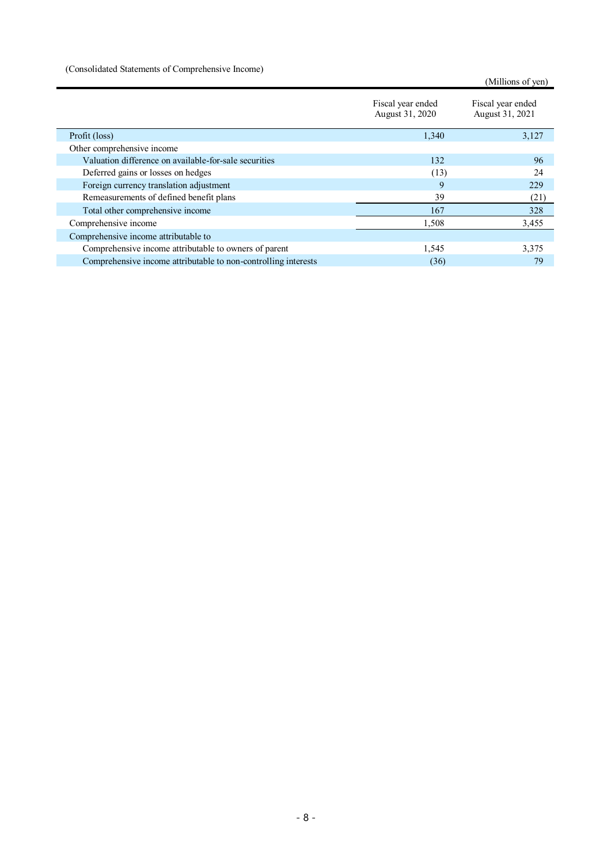(Consolidated Statements of Comprehensive Income)

(Millions of yen)

|                                                                | Fiscal year ended<br>August 31, 2020 | Fiscal year ended<br>August 31, 2021 |
|----------------------------------------------------------------|--------------------------------------|--------------------------------------|
| Profit (loss)                                                  | 1,340                                | 3,127                                |
| Other comprehensive income                                     |                                      |                                      |
| Valuation difference on available-for-sale securities          | 132                                  | 96                                   |
| Deferred gains or losses on hedges                             | (13)                                 | 24                                   |
| Foreign currency translation adjustment                        | 9                                    | 229                                  |
| Remeasurements of defined benefit plans                        | 39                                   | (21)                                 |
| Total other comprehensive income                               | 167                                  | 328                                  |
| Comprehensive income                                           | 1,508                                | 3,455                                |
| Comprehensive income attributable to                           |                                      |                                      |
| Comprehensive income attributable to owners of parent          | 1,545                                | 3,375                                |
| Comprehensive income attributable to non-controlling interests | (36)                                 | 79                                   |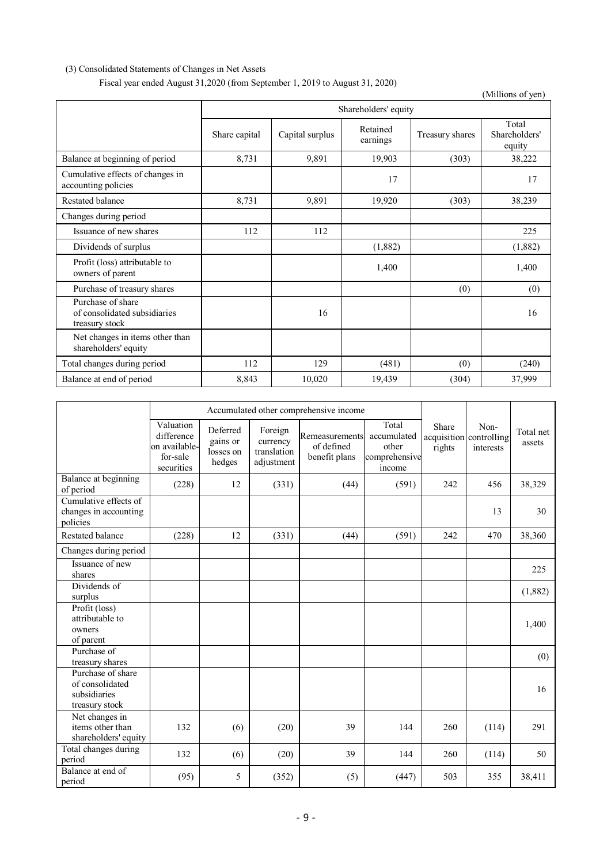# (3) Consolidated Statements of Changes in Net Assets

Fiscal year ended August 31,2020 (from September 1, 2019 to August 31, 2020)

(Millions of yen) Shareholders' equity Share capital Capital surplus Retained<br>earnings Treasury shares Total Shareholders' equity Balance at beginning of period 8,731 9,891 19,903 (303) 38,222 Cumulative effects of changes in Lumulative effects of changes in<br>accounting policies 17<br>17 Restated balance 8,731 9,891 19,920 (303) 38,239 Changes during period Issuance of new shares  $112$   $112$   $112$   $112$   $112$   $112$   $112$   $112$   $112$   $112$ Dividends of surplus (1,882) (1,882) (1,882) (1,882) Profit (loss) attributable to  $\frac{1,400}{2}$  1,400  $\frac{1,400}{2}$  1,400 Purchase of treasury shares (0) (0) (0) (0) Purchase of share of consolidated subsidiaries treasury stock 16 16 Net changes in items other than shareholders' equity Total changes during period 112 129 (481) (0) (240) Balance at end of period 8,843 10,020 19,439 (304) 37,999

|                                                                        |                                                                    | Accumulated other comprehensive income      |                                                  |                                               |                                                          |                 |                                              |                     |
|------------------------------------------------------------------------|--------------------------------------------------------------------|---------------------------------------------|--------------------------------------------------|-----------------------------------------------|----------------------------------------------------------|-----------------|----------------------------------------------|---------------------|
|                                                                        | Valuation<br>difference<br>on available-<br>for-sale<br>securities | Deferred<br>gains or<br>losses on<br>hedges | Foreign<br>currency<br>translation<br>adjustment | Remeasurements<br>of defined<br>benefit plans | Total<br>accumulated<br>other<br>comprehensive<br>income | Share<br>rights | Non-<br>acquisition controlling<br>interests | Total net<br>assets |
| Balance at beginning<br>of period                                      | (228)                                                              | 12                                          | (331)                                            | (44)                                          | (591)                                                    | 242             | 456                                          | 38,329              |
| Cumulative effects of<br>changes in accounting<br>policies             |                                                                    |                                             |                                                  |                                               |                                                          |                 | 13                                           | 30                  |
| Restated balance                                                       | (228)                                                              | 12                                          | (331)                                            | (44)                                          | (591)                                                    | 242             | 470                                          | 38,360              |
| Changes during period                                                  |                                                                    |                                             |                                                  |                                               |                                                          |                 |                                              |                     |
| Issuance of new<br>shares                                              |                                                                    |                                             |                                                  |                                               |                                                          |                 |                                              | 225                 |
| Dividends of<br>surplus                                                |                                                                    |                                             |                                                  |                                               |                                                          |                 |                                              | (1,882)             |
| Profit (loss)<br>attributable to<br>owners<br>of parent                |                                                                    |                                             |                                                  |                                               |                                                          |                 |                                              | 1,400               |
| Purchase of<br>treasury shares                                         |                                                                    |                                             |                                                  |                                               |                                                          |                 |                                              | (0)                 |
| Purchase of share<br>of consolidated<br>subsidiaries<br>treasury stock |                                                                    |                                             |                                                  |                                               |                                                          |                 |                                              | 16                  |
| Net changes in<br>items other than<br>shareholders' equity             | 132                                                                | (6)                                         | (20)                                             | 39                                            | 144                                                      | 260             | (114)                                        | 291                 |
| Total changes during<br>period                                         | 132                                                                | (6)                                         | (20)                                             | 39                                            | 144                                                      | 260             | (114)                                        | 50                  |
| Balance at end of<br>period                                            | (95)                                                               | 5                                           | (352)                                            | (5)                                           | (447)                                                    | 503             | 355                                          | 38,411              |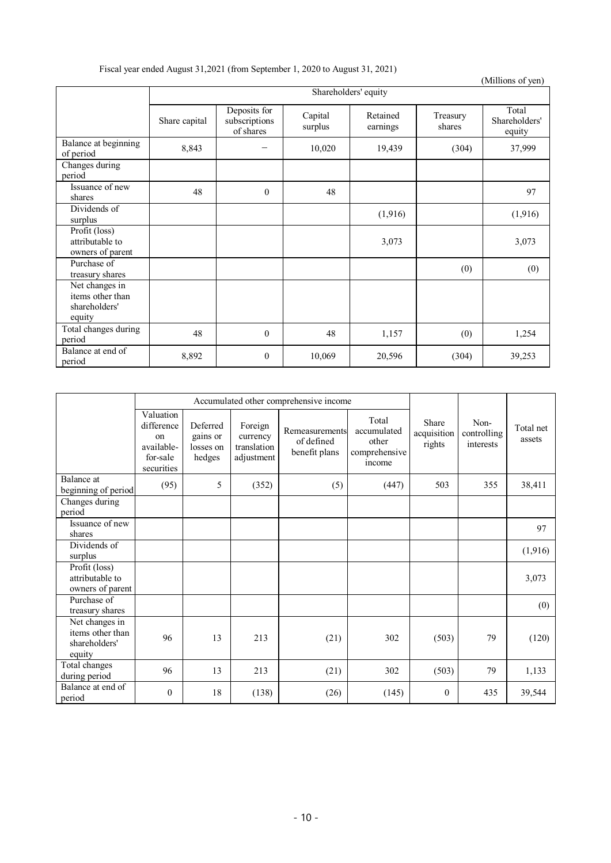|  |  |  | Fiscal year ended August 31,2021 (from September 1, 2020 to August 31, 2021) |
|--|--|--|------------------------------------------------------------------------------|
|--|--|--|------------------------------------------------------------------------------|

|                                                               |               |                                            |                    |                      |                    | (Millions of yen)                |  |
|---------------------------------------------------------------|---------------|--------------------------------------------|--------------------|----------------------|--------------------|----------------------------------|--|
|                                                               |               | Shareholders' equity                       |                    |                      |                    |                                  |  |
|                                                               | Share capital | Deposits for<br>subscriptions<br>of shares | Capital<br>surplus | Retained<br>earnings | Treasury<br>shares | Total<br>Shareholders'<br>equity |  |
| Balance at beginning<br>of period                             | 8,843         |                                            | 10,020             | 19,439               | (304)              | 37,999                           |  |
| Changes during<br>period                                      |               |                                            |                    |                      |                    |                                  |  |
| Issuance of new<br>shares                                     | 48            | $\mathbf{0}$                               | 48                 |                      |                    | 97                               |  |
| Dividends of<br>surplus                                       |               |                                            |                    | (1,916)              |                    | (1,916)                          |  |
| Profit (loss)<br>attributable to<br>owners of parent          |               |                                            |                    | 3,073                |                    | 3,073                            |  |
| Purchase of<br>treasury shares                                |               |                                            |                    |                      | (0)                | (0)                              |  |
| Net changes in<br>items other than<br>shareholders'<br>equity |               |                                            |                    |                      |                    |                                  |  |
| Total changes during<br>period                                | 48            | $\theta$                                   | 48                 | 1,157                | (0)                | 1,254                            |  |
| Balance at end of<br>period                                   | 8,892         | $\mathbf{0}$                               | 10,069             | 20,596               | (304)              | 39,253                           |  |

|                                                               | Accumulated other comprehensive income                                |                                             |                                                  |                                               |                                                          |                                |                                  |                     |
|---------------------------------------------------------------|-----------------------------------------------------------------------|---------------------------------------------|--------------------------------------------------|-----------------------------------------------|----------------------------------------------------------|--------------------------------|----------------------------------|---------------------|
|                                                               | Valuation<br>difference<br>on<br>available-<br>for-sale<br>securities | Deferred<br>gains or<br>losses on<br>hedges | Foreign<br>currency<br>translation<br>adjustment | Remeasurements<br>of defined<br>benefit plans | Total<br>accumulated<br>other<br>comprehensive<br>income | Share<br>acquisition<br>rights | Non-<br>controlling<br>interests | Total net<br>assets |
| Balance at<br>beginning of period                             | (95)                                                                  | 5                                           | (352)                                            | (5)                                           | (447)                                                    | 503                            | 355                              | 38,411              |
| Changes during<br>period                                      |                                                                       |                                             |                                                  |                                               |                                                          |                                |                                  |                     |
| Issuance of new<br>shares                                     |                                                                       |                                             |                                                  |                                               |                                                          |                                |                                  | 97                  |
| Dividends of<br>surplus                                       |                                                                       |                                             |                                                  |                                               |                                                          |                                |                                  | (1,916)             |
| Profit (loss)<br>attributable to<br>owners of parent          |                                                                       |                                             |                                                  |                                               |                                                          |                                |                                  | 3,073               |
| Purchase of<br>treasury shares                                |                                                                       |                                             |                                                  |                                               |                                                          |                                |                                  | (0)                 |
| Net changes in<br>items other than<br>shareholders'<br>equity | 96                                                                    | 13                                          | 213                                              | (21)                                          | 302                                                      | (503)                          | 79                               | (120)               |
| Total changes<br>during period                                | 96                                                                    | 13                                          | 213                                              | (21)                                          | 302                                                      | (503)                          | 79                               | 1,133               |
| Balance at end of<br>period                                   | $\boldsymbol{0}$                                                      | 18                                          | (138)                                            | (26)                                          | (145)                                                    | $\mathbf{0}$                   | 435                              | 39,544              |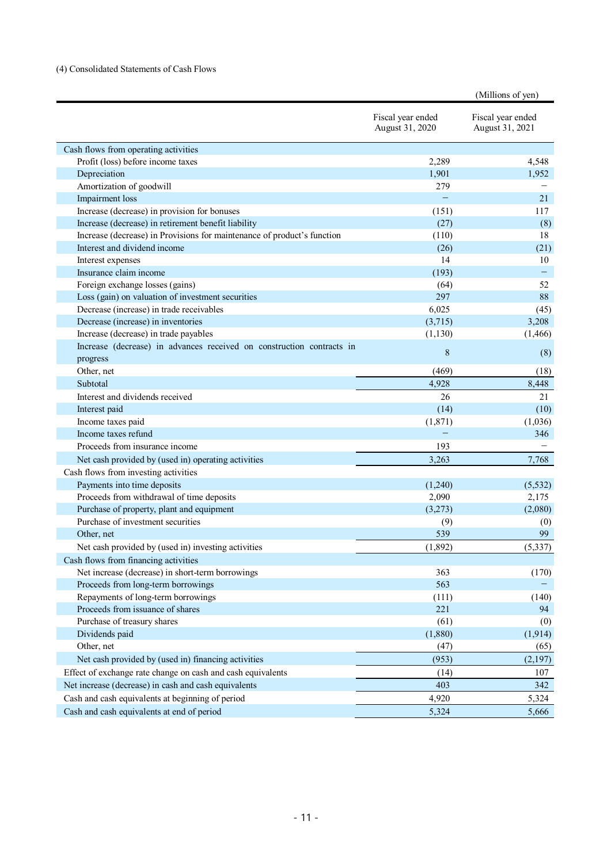# (4) Consolidated Statements of Cash Flows

| Fiscal year ended<br>Fiscal year ended                                           |                   |
|----------------------------------------------------------------------------------|-------------------|
| August 31, 2020<br>August 31, 2021                                               |                   |
| Cash flows from operating activities                                             |                   |
| Profit (loss) before income taxes<br>2,289                                       | 4,548             |
| Depreciation<br>1,901<br>1,952                                                   |                   |
| Amortization of goodwill<br>279                                                  |                   |
| $\equiv$<br>Impairment loss                                                      | 21                |
| Increase (decrease) in provision for bonuses<br>(151)                            | 117               |
| Increase (decrease) in retirement benefit liability<br>(27)                      | (8)               |
| Increase (decrease) in Provisions for maintenance of product's function<br>(110) | 18                |
| Interest and dividend income<br>(26)                                             | (21)              |
| 14<br>Interest expenses                                                          | 10                |
| Insurance claim income<br>(193)                                                  | $\qquad \qquad -$ |
| Foreign exchange losses (gains)<br>(64)                                          | 52                |
| 297<br>Loss (gain) on valuation of investment securities                         | 88                |
| Decrease (increase) in trade receivables<br>6,025                                | (45)              |
| Decrease (increase) in inventories<br>(3,715)                                    | 3,208             |
| Increase (decrease) in trade payables<br>(1, 466)<br>(1, 130)                    |                   |
| Increase (decrease) in advances received on construction contracts in<br>8       | (8)               |
| progress                                                                         |                   |
| Other, net<br>(469)                                                              | (18)              |
| 4,928<br>Subtotal<br>8,448                                                       |                   |
| Interest and dividends received<br>26                                            | 21                |
| Interest paid<br>(14)                                                            | (10)              |
| Income taxes paid<br>(1,871)<br>(1,036)                                          |                   |
| Income taxes refund                                                              | 346               |
| Proceeds from insurance income<br>193                                            |                   |
| Net cash provided by (used in) operating activities<br>3,263                     | 7,768             |
| Cash flows from investing activities                                             |                   |
| Payments into time deposits<br>(1,240)<br>(5, 532)                               |                   |
| Proceeds from withdrawal of time deposits<br>2,090                               | 2,175             |
| Purchase of property, plant and equipment<br>(3,273)<br>(2,080)                  |                   |
| Purchase of investment securities<br>(9)                                         | (0)               |
| Other, net<br>539                                                                | 99                |
| Net cash provided by (used in) investing activities<br>(1,892)<br>(5,337)        |                   |
| Cash flows from financing activities                                             |                   |
| Net increase (decrease) in short-term borrowings<br>363                          | (170)             |
| Proceeds from long-term borrowings<br>563                                        |                   |
| Repayments of long-term borrowings<br>(111)                                      | (140)             |
| Proceeds from issuance of shares<br>221                                          | 94                |
| Purchase of treasury shares<br>(61)                                              | (0)               |
| Dividends paid<br>(1,880)<br>(1, 914)                                            |                   |
| Other, net<br>(47)                                                               | (65)              |
| Net cash provided by (used in) financing activities<br>(953)<br>(2,197)          |                   |
| Effect of exchange rate change on cash and cash equivalents<br>(14)              | 107               |
| Net increase (decrease) in cash and cash equivalents<br>403                      | 342               |
| Cash and cash equivalents at beginning of period<br>4,920                        | 5,324             |
| Cash and cash equivalents at end of period<br>5,324                              | 5,666             |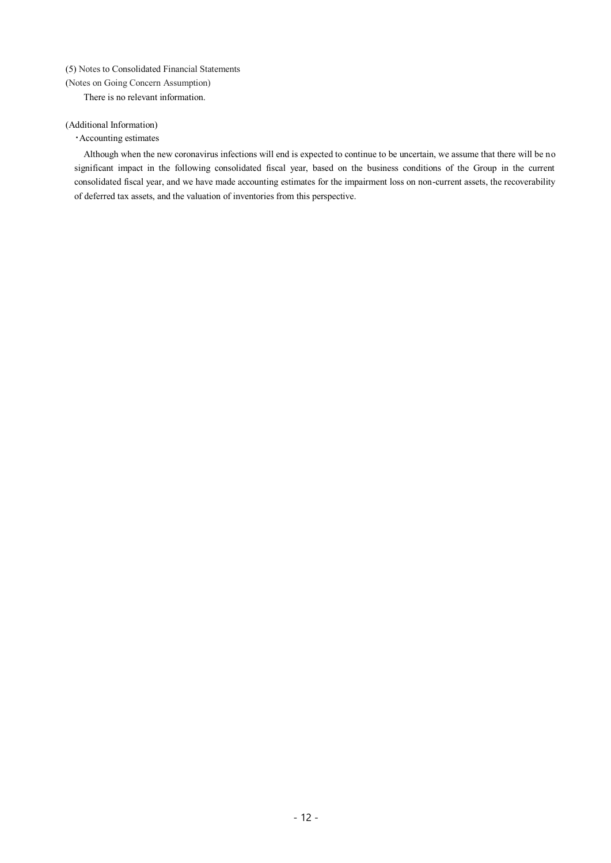# (5) Notes to Consolidated Financial Statements

(Notes on Going Concern Assumption)

There is no relevant information.

# (Additional Information)

## ・Accounting estimates

Although when the new coronavirus infections will end is expected to continue to be uncertain, we assume that there will be no significant impact in the following consolidated fiscal year, based on the business conditions of the Group in the current consolidated fiscal year, and we have made accounting estimates for the impairment loss on non-current assets, the recoverability of deferred tax assets, and the valuation of inventories from this perspective.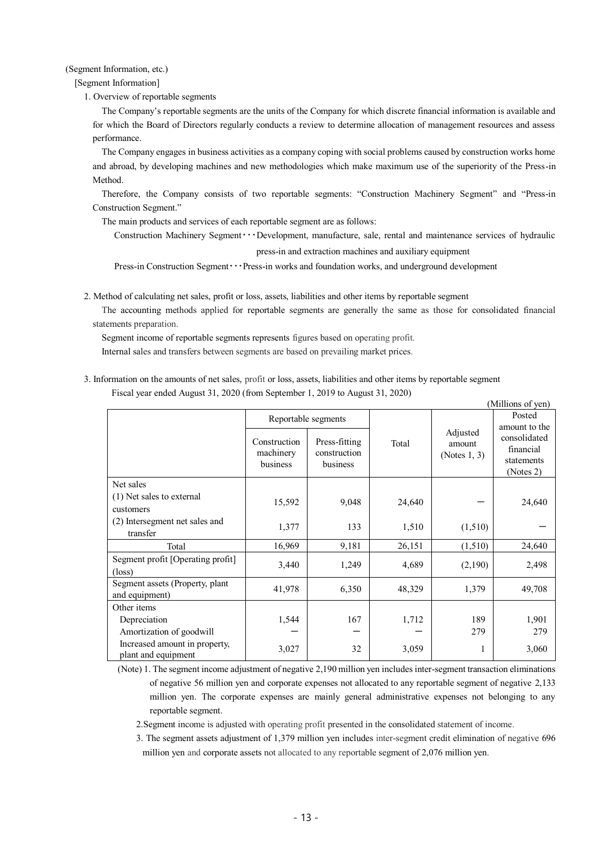(Segment Information, etc.)

[Segment Information]

1. Overview of reportable segments

The Company's reportable segments are the units of the Company for which discrete financial information is available and for which the Board of Directors regularly conducts a review to determine allocation of management resources and assess performance.

The Company engages in business activities as a company coping with social problems caused by construction works home and abroad, by developing machines and new methodologies which make maximum use of the superiority of the Press-in Method.

Therefore, the Company consists of two reportable segments: "Construction Machinery Segment" and "Press-in Construction Segment."

The main products and services of each reportable segment are as follows:

Construction Machinery Segment・・・Development, manufacture, sale, rental and maintenance services of hydraulic press-in and extraction machines and auxiliary equipment

Press-in Construction Segment • • • Press-in works and foundation works, and underground development

2. Method of calculating net sales, profit or loss, assets, liabilities and other items by reportable segment

The accounting methods applied for reportable segments are generally the same as those for consolidated financial statements preparation.

Segment income of reportable segments represents figures based on operating profit.

Internal sales and transfers between segments are based on prevailing market prices.

3. Information on the amounts of net sales, profit or loss, assets, liabilities and other items by reportable segment Fiscal year ended August 31, 2020 (from September 1, 2019 to August 31, 2020)

| (Millions of yen)                                    |                                       |                                           |        |                                    |                                                      |  |  |
|------------------------------------------------------|---------------------------------------|-------------------------------------------|--------|------------------------------------|------------------------------------------------------|--|--|
|                                                      |                                       | Reportable segments                       |        |                                    | Posted<br>amount to the                              |  |  |
|                                                      | Construction<br>machinery<br>business | Press-fitting<br>construction<br>business | Total  | Adjusted<br>amount<br>(Notes 1, 3) | consolidated<br>financial<br>statements<br>(Notes 2) |  |  |
| Net sales                                            |                                       |                                           |        |                                    |                                                      |  |  |
| (1) Net sales to external<br>customers               | 15,592                                | 9,048                                     | 24,640 |                                    | 24,640                                               |  |  |
| (2) Intersegment net sales and<br>transfer           | 1,377                                 | 133                                       | 1,510  | (1,510)                            |                                                      |  |  |
| Total                                                | 16,969                                | 9,181                                     | 26,151 | (1,510)                            | 24,640                                               |  |  |
| Segment profit [Operating profit]<br>$(\text{loss})$ | 3,440                                 | 1,249                                     | 4,689  | (2,190)                            | 2,498                                                |  |  |
| Segment assets (Property, plant<br>and equipment)    | 41,978                                | 6,350                                     | 48,329 | 1,379                              | 49,708                                               |  |  |
| Other items                                          |                                       |                                           |        |                                    |                                                      |  |  |
| Depreciation                                         | 1,544                                 | 167                                       | 1,712  | 189                                | 1,901                                                |  |  |
| Amortization of goodwill                             |                                       |                                           |        | 279                                | 279                                                  |  |  |
| Increased amount in property,<br>plant and equipment | 3,027                                 | 32                                        | 3,059  | 1                                  | 3,060                                                |  |  |

(Note) 1. The segment income adjustment of negative 2,190 million yen includes inter-segment transaction eliminations of negative 56 million yen and corporate expenses not allocated to any reportable segment of negative 2,133 million yen. The corporate expenses are mainly general administrative expenses not belonging to any reportable segment.

2.Segment income is adjusted with operating profit presented in the consolidated statement of income.

3. The segment assets adjustment of 1,379 million yen includes inter-segment credit elimination of negative 696 million yen and corporate assets not allocated to any reportable segment of 2,076 million yen.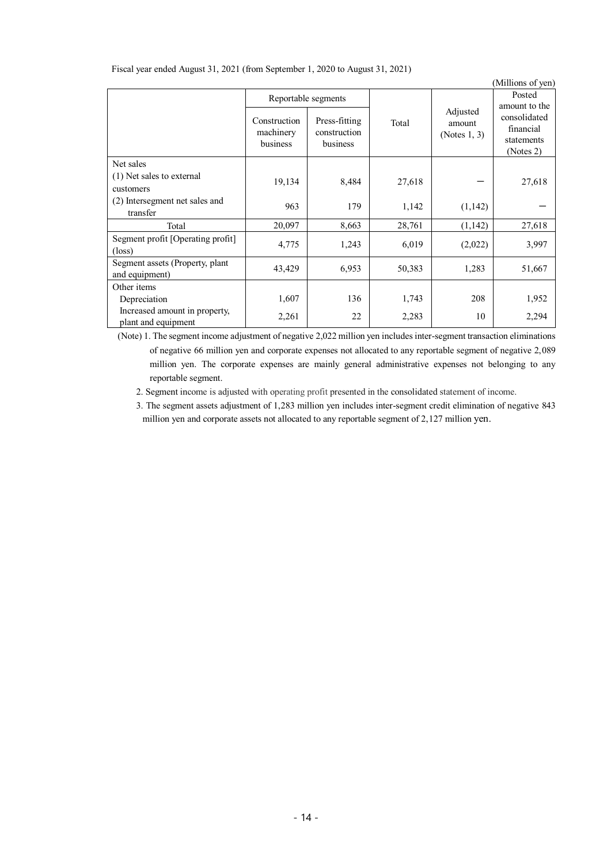|                                                      |                                       |                                           |        |                                    | (Millions of yen)                                    |
|------------------------------------------------------|---------------------------------------|-------------------------------------------|--------|------------------------------------|------------------------------------------------------|
|                                                      |                                       | Reportable segments                       |        |                                    | Posted<br>amount to the                              |
|                                                      | Construction<br>machinery<br>business | Press-fitting<br>construction<br>business | Total  | Adjusted<br>amount<br>(Notes 1, 3) | consolidated<br>financial<br>statements<br>(Notes 2) |
| Net sales                                            |                                       |                                           |        |                                    |                                                      |
| (1) Net sales to external                            | 19,134                                | 8,484                                     | 27,618 |                                    | 27,618                                               |
| customers                                            |                                       |                                           |        |                                    |                                                      |
| (2) Intersegment net sales and<br>transfer           | 963                                   | 179                                       | 1,142  | (1,142)                            |                                                      |
| Total                                                | 20,097                                | 8,663                                     | 28,761 | (1,142)                            | 27,618                                               |
| Segment profit [Operating profit]<br>$(\text{loss})$ | 4,775                                 | 1,243                                     | 6,019  | (2,022)                            | 3,997                                                |
| Segment assets (Property, plant<br>and equipment)    | 43,429                                | 6,953                                     | 50,383 | 1,283                              | 51,667                                               |
| Other items                                          |                                       |                                           |        |                                    |                                                      |
| Depreciation                                         | 1,607                                 | 136                                       | 1,743  | 208                                | 1,952                                                |
| Increased amount in property,<br>plant and equipment | 2,261                                 | 22                                        | 2,283  | 10                                 | 2,294                                                |

Fiscal year ended August 31, 2021 (from September 1, 2020 to August 31, 2021)

(Note) 1. The segment income adjustment of negative 2,022 million yen includes inter-segment transaction eliminations of negative 66 million yen and corporate expenses not allocated to any reportable segment of negative 2,089 million yen. The corporate expenses are mainly general administrative expenses not belonging to any reportable segment.

2. Segment income is adjusted with operating profit presented in the consolidated statement of income.

3. The segment assets adjustment of 1,283 million yen includes inter-segment credit elimination of negative 843 million yen and corporate assets not allocated to any reportable segment of 2,127 million yen.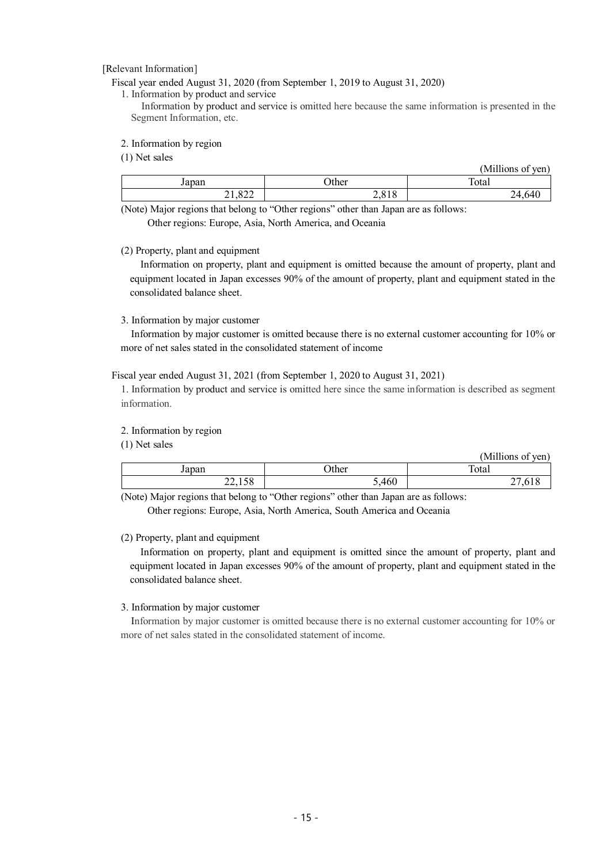[Relevant Information]

Fiscal year ended August 31, 2020 (from September 1, 2019 to August 31, 2020)

1. Information by product and service

Information by product and service is omitted here because the same information is presented in the Segment Information, etc.

2. Information by region

(1) Net sales

|              |               | 'Millions of<br>$\sqrt{e}$ ven |
|--------------|---------------|--------------------------------|
| Japan        | Other         | Total                          |
| ാറ<br>21,022 | 2010<br>2,010 | 24,640                         |

(Note) Major regions that belong to "Other regions" other than Japan are as follows: Other regions: Europe, Asia, North America, and Oceania

(2) Property, plant and equipment

Information on property, plant and equipment is omitted because the amount of property, plant and equipment located in Japan excesses 90% of the amount of property, plant and equipment stated in the consolidated balance sheet.

## 3. Information by major customer

Information by major customer is omitted because there is no external customer accounting for 10% or more of net sales stated in the consolidated statement of income

## Fiscal year ended August 31, 2021 (from September 1, 2020 to August 31, 2021)

1. Information by product and service is omitted here since the same information is described as segment information.

# 2. Information by region

(1) Net sales

| $(1)$ . The barror |              | (Millions of yen) |
|--------------------|--------------|-------------------|
| Japan              | <b>Other</b> | Total             |
| 22,158             | 5,460        | 27,618            |

(Note) Major regions that belong to "Other regions" other than Japan are as follows: Other regions: Europe, Asia, North America, South America and Oceania

# (2) Property, plant and equipment

Information on property, plant and equipment is omitted since the amount of property, plant and equipment located in Japan excesses 90% of the amount of property, plant and equipment stated in the consolidated balance sheet.

## 3. Information by major customer

Information by major customer is omitted because there is no external customer accounting for 10% or more of net sales stated in the consolidated statement of income.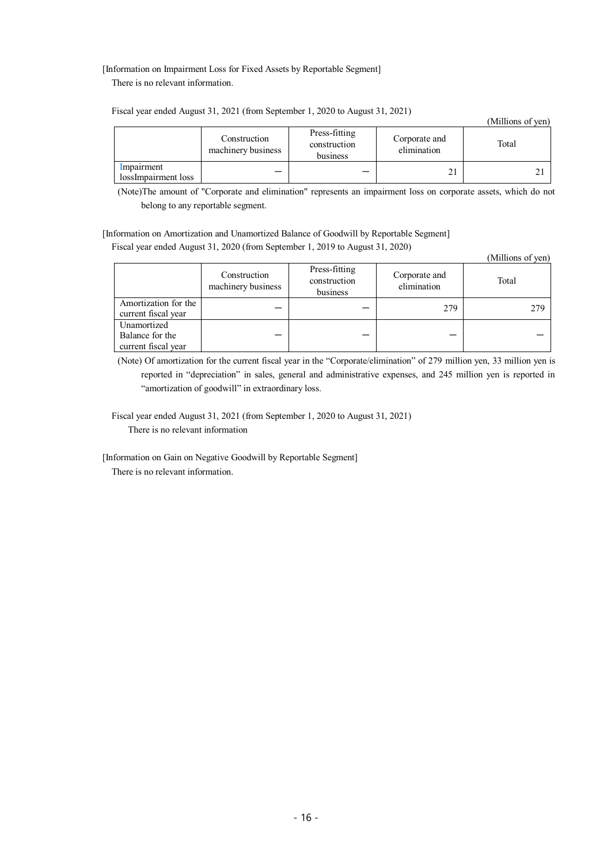[Information on Impairment Loss for Fixed Assets by Reportable Segment] There is no relevant information.

(Millions of yen) Construction machinery business Press-fitting construction business Corporate and orporate and<br>elimination Total Impairment  $\frac{1}{21}$   $\frac{1}{21}$   $\frac{21}{21}$   $\frac{21}{21}$   $\frac{21}{21}$ 

Fiscal year ended August 31, 2021 (from September 1, 2020 to August 31, 2021)

(Note)The amount of "Corporate and elimination" represents an impairment loss on corporate assets, which do not belong to any reportable segment.

[Information on Amortization and Unamortized Balance of Goodwill by Reportable Segment] Fiscal year ended August 31, 2020 (from September 1, 2019 to August 31, 2020)

(Millions of yen)

|                                                       | Construction<br>machinery business | Press-fitting<br>construction<br>business | Corporate and<br>elimination | Total |
|-------------------------------------------------------|------------------------------------|-------------------------------------------|------------------------------|-------|
| Amortization for the<br>current fiscal year           |                                    |                                           | 279                          | 279   |
| Unamortized<br>Balance for the<br>current fiscal year |                                    |                                           |                              |       |

(Note) Of amortization for the current fiscal year in the "Corporate/elimination" of 279 million yen, 33 million yen is reported in "depreciation" in sales, general and administrative expenses, and 245 million yen is reported in "amortization of goodwill" in extraordinary loss.

Fiscal year ended August 31, 2021 (from September 1, 2020 to August 31, 2021) There is no relevant information

[Information on Gain on Negative Goodwill by Reportable Segment]

There is no relevant information.